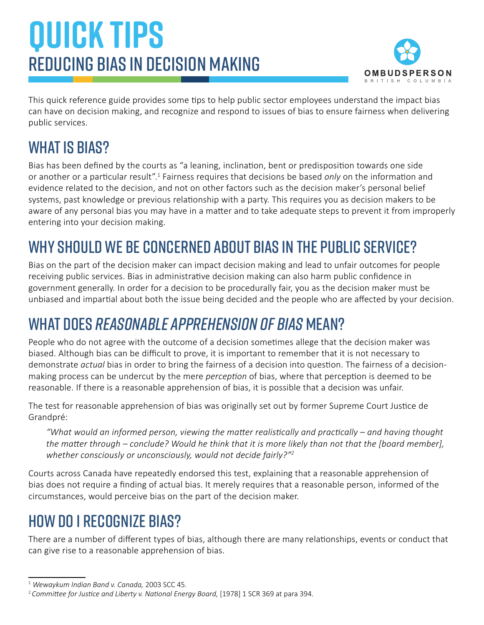# **QUICK TIPS** Reducing bias in decision making



This quick reference guide provides some tips to help public sector employees understand the impact bias can have on decision making, and recognize and respond to issues of bias to ensure fairness when delivering public services.

# WHAT IS BIAS?

Bias has been defined by the courts as "a leaning, inclination, bent or predisposition towards one side or another or a particular result".<sup>1</sup> Fairness requires that decisions be based *only* on the information and evidence related to the decision, and not on other factors such as the decision maker's personal belief systems, past knowledge or previous relationship with a party. This requires you as decision makers to be aware of any personal bias you may have in a matter and to take adequate steps to prevent it from improperly entering into your decision making.

# Why should we be concerned about bias in the public service?

Bias on the part of the decision maker can impact decision making and lead to unfair outcomes for people receiving public services. Bias in administrative decision making can also harm public confidence in government generally. In order for a decision to be procedurally fair, you as the decision maker must be unbiased and impartial about both the issue being decided and the people who are affected by your decision.

### What does *reasonable apprehension of bias* mean?

People who do not agree with the outcome of a decision sometimes allege that the decision maker was biased. Although bias can be difficult to prove, it is important to remember that it is not necessary to demonstrate *actual* bias in order to bring the fairness of a decision into question. The fairness of a decisionmaking process can be undercut by the mere *perception* of bias, where that perception is deemed to be reasonable. If there is a reasonable apprehension of bias, it is possible that a decision was unfair.

The test for reasonable apprehension of bias was originally set out by former Supreme Court Justice de Grandpré:

*"What would an informed person, viewing the matter realistically and practically – and having thought the matter through – conclude? Would he think that it is more likely than not that the [board member], whether consciously or unconsciously, would not decide fairly?"<sup>2</sup>*

Courts across Canada have repeatedly endorsed this test, explaining that a reasonable apprehension of bias does not require a finding of actual bias. It merely requires that a reasonable person, informed of the circumstances, would perceive bias on the part of the decision maker.

# How do I recognize bias?

There are a number of different types of bias, although there are many relationships, events or conduct that can give rise to a reasonable apprehension of bias.

<sup>1</sup> *Wewaykum Indian Band v. Canada,* 2003 SCC 45.

<sup>2</sup>*Committee for Justice and Liberty v. National Energy Board,* [1978] 1 SCR 369 at para 394.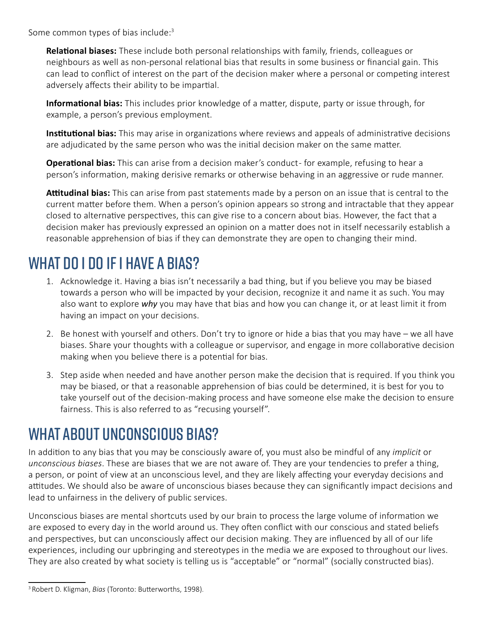Some common types of bias include:<sup>3</sup>

**Relational biases:** These include both personal relationships with family, friends, colleagues or neighbours as well as non-personal relational bias that results in some business or financial gain. This can lead to conflict of interest on the part of the decision maker where a personal or competing interest adversely affects their ability to be impartial.

**Informational bias:** This includes prior knowledge of a matter, dispute, party or issue through, for example, a person's previous employment.

**Institutional bias:** This may arise in organizations where reviews and appeals of administrative decisions are adjudicated by the same person who was the initial decision maker on the same matter.

**Operational bias:** This can arise from a decision maker's conduct - for example, refusing to hear a person's information, making derisive remarks or otherwise behaving in an aggressive or rude manner.

**Attitudinal bias:** This can arise from past statements made by a person on an issue that is central to the current matter before them. When a person's opinion appears so strong and intractable that they appear closed to alternative perspectives, this can give rise to a concern about bias. However, the fact that a decision maker has previously expressed an opinion on a matter does not in itself necessarily establish a reasonable apprehension of bias if they can demonstrate they are open to changing their mind.

### WHAT DO I DO IF I HAVE A BIAS?

- 1. Acknowledge it. Having a bias isn't necessarily a bad thing, but if you believe you may be biased towards a person who will be impacted by your decision, recognize it and name it as such. You may also want to explore *why* you may have that bias and how you can change it, or at least limit it from having an impact on your decisions.
- 2. Be honest with yourself and others. Don't try to ignore or hide a bias that you may have we all have biases. Share your thoughts with a colleague or supervisor, and engage in more collaborative decision making when you believe there is a potential for bias.
- 3. Step aside when needed and have another person make the decision that is required. If you think you may be biased, or that a reasonable apprehension of bias could be determined, it is best for you to take yourself out of the decision-making process and have someone else make the decision to ensure fairness. This is also referred to as "recusing yourself".

### What about unconscious bias?

In addition to any bias that you may be consciously aware of, you must also be mindful of any *implicit* or *unconscious biases*. These are biases that we are not aware of. They are your tendencies to prefer a thing, a person, or point of view at an unconscious level, and they are likely affecting your everyday decisions and attitudes. We should also be aware of unconscious biases because they can significantly impact decisions and lead to unfairness in the delivery of public services.

Unconscious biases are mental shortcuts used by our brain to process the large volume of information we are exposed to every day in the world around us. They often conflict with our conscious and stated beliefs and perspectives, but can unconsciously affect our decision making. They are influenced by all of our life experiences, including our upbringing and stereotypes in the media we are exposed to throughout our lives. They are also created by what society is telling us is "acceptable" or "normal" (socially constructed bias).

<sup>3</sup> Robert D. Kligman, *Bias* (Toronto: Butterworths, 1998).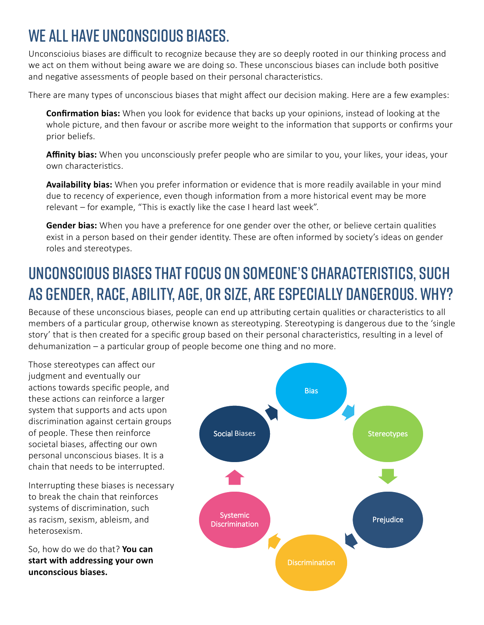# We all have unconscious biases.

Unconscioius biases are difficult to recognize because they are so deeply rooted in our thinking process and we act on them without being aware we are doing so. These unconscious biases can include both positive and negative assessments of people based on their personal characteristics.

There are many types of unconscious biases that might affect our decision making. Here are a few examples:

**Confirmation bias:** When you look for evidence that backs up your opinions, instead of looking at the whole picture, and then favour or ascribe more weight to the information that supports or confirms your prior beliefs.

**Affinity bias:** When you unconsciously prefer people who are similar to you, your likes, your ideas, your own characteristics.

**Availability bias:** When you prefer information or evidence that is more readily available in your mind due to recency of experience, even though information from a more historical event may be more relevant – for example, "This is exactly like the case I heard last week".

**Gender bias:** When you have a preference for one gender over the other, or believe certain qualities exist in a person based on their gender identity. These are often informed by society's ideas on gender roles and stereotypes.

# Unconscious biases that focus on someone's characteristics, such as gender, race, ability, Age, or size, are especially dangerous. Why?

Because of these unconscious biases, people can end up attributing certain qualities or characteristics to all members of a particular group, otherwise known as stereotyping. Stereotyping is dangerous due to the 'single story' that is then created for a specific group based on their personal characteristics, resulting in a level of dehumanization – a particular group of people become one thing and no more.